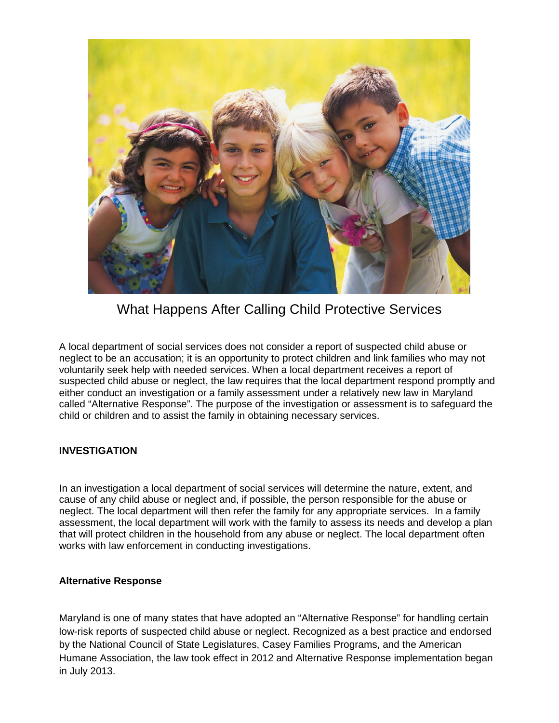

What Happens After Calling Child Protective Services

A local department of social services does not consider a report of suspected child abuse or neglect to be an accusation; it is an opportunity to protect children and link families who may not voluntarily seek help with needed services. When a local department receives a report of suspected child abuse or neglect, the law requires that the local department respond promptly and either conduct an investigation or a family assessment under a relatively new law in Maryland called "Alternative Response". The purpose of the investigation or assessment is to safeguard the child or children and to assist the family in obtaining necessary services.

#### **INVESTIGATION**

In an investigation a local department of social services will determine the nature, extent, and cause of any child abuse or neglect and, if possible, the person responsible for the abuse or neglect. The local department will then refer the family for any appropriate services. In a family assessment, the local department will work with the family to assess its needs and develop a plan that will protect children in the household from any abuse or neglect. The local department often works with law enforcement in conducting investigations.

#### **Alternative Response**

Maryland is one of many states that have adopted an "Alternative Response" for handling certain low-risk reports of suspected child abuse or neglect. Recognized as a best practice and endorsed by the National Council of State Legislatures, Casey Families Programs, and the American Humane Association, the law took effect in 2012 and Alternative Response implementation began in July 2013.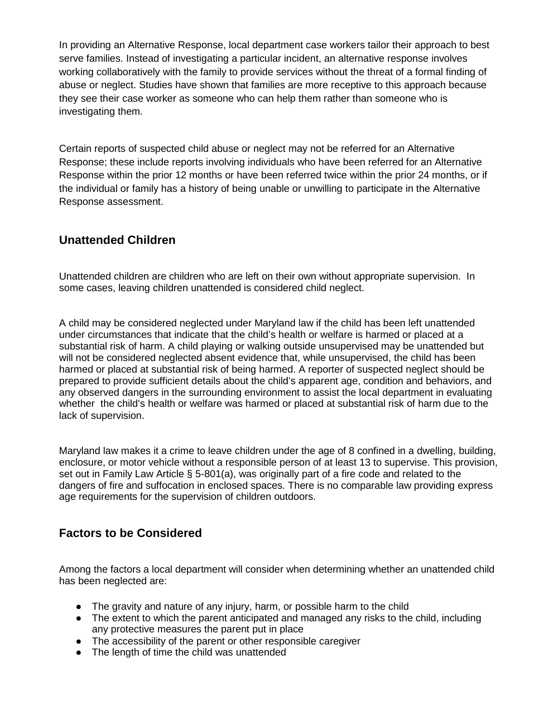In providing an Alternative Response, local department case workers tailor their approach to best serve families. Instead of investigating a particular incident, an alternative response involves working collaboratively with the family to provide services without the threat of a formal finding of abuse or neglect. Studies have shown that families are more receptive to this approach because they see their case worker as someone who can help them rather than someone who is investigating them.

Certain reports of suspected child abuse or neglect may not be referred for an Alternative Response; these include reports involving individuals who have been referred for an Alternative Response within the prior 12 months or have been referred twice within the prior 24 months, or if the individual or family has a history of being unable or unwilling to participate in the Alternative Response assessment.

# **Unattended Children**

Unattended children are children who are left on their own without appropriate supervision. In some cases, leaving children unattended is considered child neglect.

A child may be considered neglected under Maryland law if the child has been left unattended under circumstances that indicate that the child's health or welfare is harmed or placed at a substantial risk of harm. A child playing or walking outside unsupervised may be unattended but will not be considered neglected absent evidence that, while unsupervised, the child has been harmed or placed at substantial risk of being harmed. A reporter of suspected neglect should be prepared to provide sufficient details about the child's apparent age, condition and behaviors, and any observed dangers in the surrounding environment to assist the local department in evaluating whether the child's health or welfare was harmed or placed at substantial risk of harm due to the lack of supervision.

Maryland law makes it a crime to leave children under the age of 8 confined in a dwelling, building, enclosure, or motor vehicle without a responsible person of at least 13 to supervise. This provision, set out in Family Law Article § 5-801(a), was originally part of a fire code and related to the dangers of fire and suffocation in enclosed spaces. There is no comparable law providing express age requirements for the supervision of children outdoors.

# **Factors to be Considered**

Among the factors a local department will consider when determining whether an unattended child has been neglected are:

- The gravity and nature of any injury, harm, or possible harm to the child
- The extent to which the parent anticipated and managed any risks to the child, including any protective measures the parent put in place
- The accessibility of the parent or other responsible caregiver
- The length of time the child was unattended